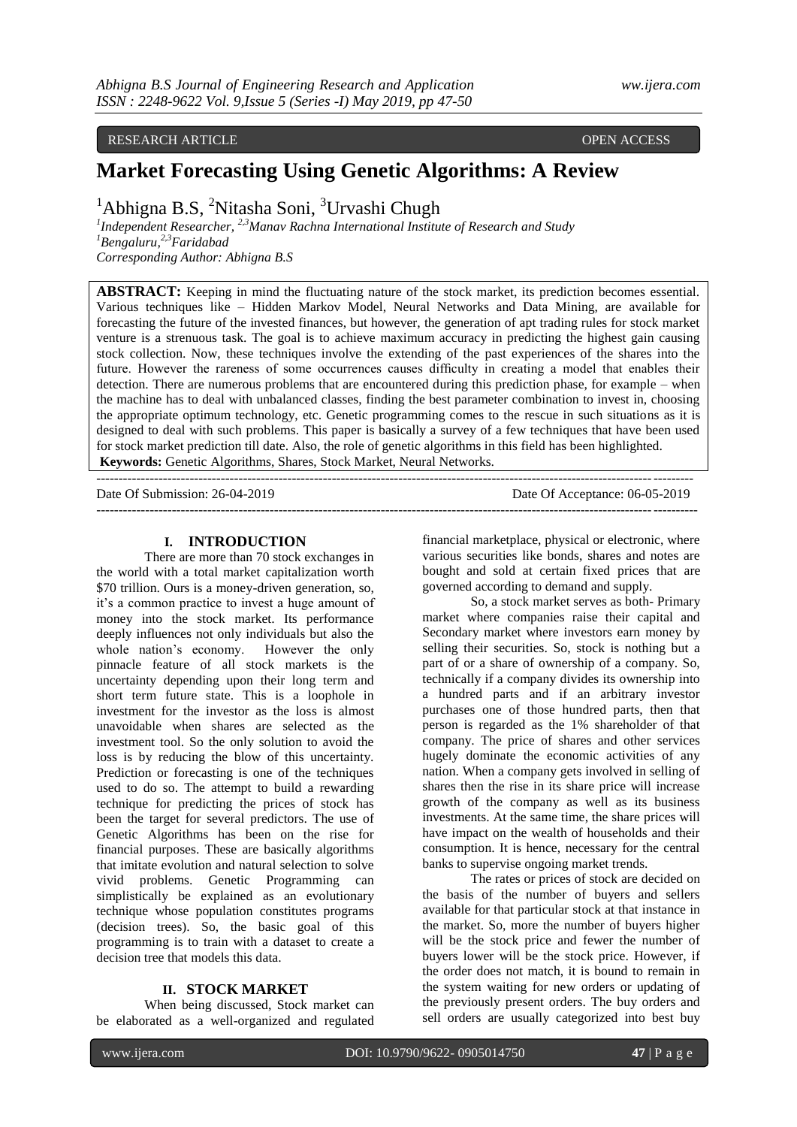## RESEARCH ARTICLE **CONSERVERS** OPEN ACCESS OPEN ACCESS

# **Market Forecasting Using Genetic Algorithms: A Review**

<sup>1</sup>Abhigna B.S, <sup>2</sup>Nitasha Soni, <sup>3</sup>Urvashi Chugh

<sup>1</sup> Independent Researcher, <sup>2,3</sup> Manav Rachna International Institute of Research and Study *<sup>1</sup>Bengaluru, 2,3Faridabad Corresponding Author: Abhigna B.S*

**ABSTRACT:** Keeping in mind the fluctuating nature of the stock market, its prediction becomes essential. Various techniques like – Hidden Markov Model, Neural Networks and Data Mining, are available for forecasting the future of the invested finances, but however, the generation of apt trading rules for stock market venture is a strenuous task. The goal is to achieve maximum accuracy in predicting the highest gain causing stock collection. Now, these techniques involve the extending of the past experiences of the shares into the future. However the rareness of some occurrences causes difficulty in creating a model that enables their detection. There are numerous problems that are encountered during this prediction phase, for example – when the machine has to deal with unbalanced classes, finding the best parameter combination to invest in, choosing the appropriate optimum technology, etc. Genetic programming comes to the rescue in such situations as it is designed to deal with such problems. This paper is basically a survey of a few techniques that have been used for stock market prediction till date. Also, the role of genetic algorithms in this field has been highlighted. **Keywords:** Genetic Algorithms, Shares, Stock Market, Neural Networks.

-------------------------------------------------------------------------------------------------------------------------------------- Date Of Submission: 26-04-2019 Date Of Acceptance: 06-05-2019  $-1-\frac{1}{2}$ 

#### **I. INTRODUCTION**

There are more than 70 stock exchanges in the world with a total market capitalization worth \$70 trillion. Ours is a money-driven generation, so, it's a common practice to invest a huge amount of money into the stock market. Its performance deeply influences not only individuals but also the whole nation's economy. However the only pinnacle feature of all stock markets is the uncertainty depending upon their long term and short term future state. This is a loophole in investment for the investor as the loss is almost unavoidable when shares are selected as the investment tool. So the only solution to avoid the loss is by reducing the blow of this uncertainty. Prediction or forecasting is one of the techniques used to do so. The attempt to build a rewarding technique for predicting the prices of stock has been the target for several predictors. The use of Genetic Algorithms has been on the rise for financial purposes. These are basically algorithms that imitate evolution and natural selection to solve vivid problems. Genetic Programming can simplistically be explained as an evolutionary technique whose population constitutes programs (decision trees). So, the basic goal of this programming is to train with a dataset to create a decision tree that models this data.

### **II. STOCK MARKET**

When being discussed, Stock market can be elaborated as a well-organized and regulated financial marketplace, physical or electronic, where various securities like bonds, shares and notes are bought and sold at certain fixed prices that are governed according to demand and supply.

So, a stock market serves as both- Primary market where companies raise their capital and Secondary market where investors earn money by selling their securities. So, stock is nothing but a part of or a share of ownership of a company. So, technically if a company divides its ownership into a hundred parts and if an arbitrary investor purchases one of those hundred parts, then that person is regarded as the 1% shareholder of that company. The price of shares and other services hugely dominate the economic activities of any nation. When a company gets involved in selling of shares then the rise in its share price will increase growth of the company as well as its business investments. At the same time, the share prices will have impact on the wealth of households and their consumption. It is hence, necessary for the central banks to supervise ongoing market trends.

The rates or prices of stock are decided on the basis of the number of buyers and sellers available for that particular stock at that instance in the market. So, more the number of buyers higher will be the stock price and fewer the number of buyers lower will be the stock price. However, if the order does not match, it is bound to remain in the system waiting for new orders or updating of the previously present orders. The buy orders and sell orders are usually categorized into best buy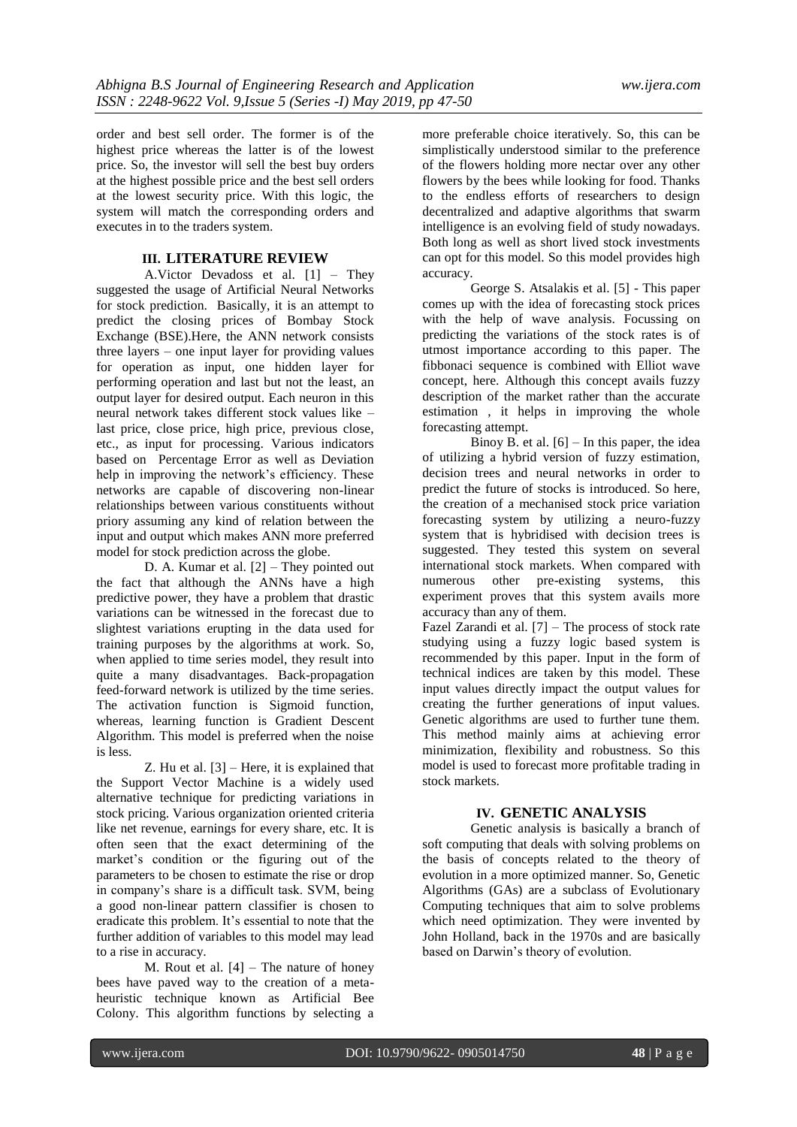order and best sell order. The former is of the highest price whereas the latter is of the lowest price. So, the investor will sell the best buy orders at the highest possible price and the best sell orders at the lowest security price. With this logic, the system will match the corresponding orders and executes in to the traders system.

#### **III. LITERATURE REVIEW**

A.Victor Devadoss et al. [1] – They suggested the usage of Artificial Neural Networks for stock prediction. Basically, it is an attempt to predict the closing prices of Bombay Stock Exchange (BSE).Here, the ANN network consists three layers – one input layer for providing values for operation as input, one hidden layer for performing operation and last but not the least, an output layer for desired output. Each neuron in this neural network takes different stock values like – last price, close price, high price, previous close, etc., as input for processing. Various indicators based on Percentage Error as well as Deviation help in improving the network's efficiency. These networks are capable of discovering non-linear relationships between various constituents without priory assuming any kind of relation between the input and output which makes ANN more preferred model for stock prediction across the globe.

D. A. Kumar et al. [2] – They pointed out the fact that although the ANNs have a high predictive power, they have a problem that drastic variations can be witnessed in the forecast due to slightest variations erupting in the data used for training purposes by the algorithms at work. So, when applied to time series model, they result into quite a many disadvantages. Back-propagation feed-forward network is utilized by the time series. The activation function is Sigmoid function, whereas, learning function is Gradient Descent Algorithm. This model is preferred when the noise is less.

Z. Hu et al.  $[3]$  – Here, it is explained that the Support Vector Machine is a widely used alternative technique for predicting variations in stock pricing. Various organization oriented criteria like net revenue, earnings for every share, etc. It is often seen that the exact determining of the market's condition or the figuring out of the parameters to be chosen to estimate the rise or drop in company's share is a difficult task. SVM, being a good non-linear pattern classifier is chosen to eradicate this problem. It's essential to note that the further addition of variables to this model may lead to a rise in accuracy.

M. Rout et al.  $[4]$  – The nature of honey bees have paved way to the creation of a metaheuristic technique known as Artificial Bee Colony. This algorithm functions by selecting a more preferable choice iteratively. So, this can be simplistically understood similar to the preference of the flowers holding more nectar over any other flowers by the bees while looking for food. Thanks to the endless efforts of researchers to design decentralized and adaptive algorithms that swarm intelligence is an evolving field of study nowadays. Both long as well as short lived stock investments can opt for this model. So this model provides high accuracy.

George S. Atsalakis et al. [5] - This paper comes up with the idea of forecasting stock prices with the help of wave analysis. Focussing on predicting the variations of the stock rates is of utmost importance according to this paper. The fibbonaci sequence is combined with Elliot wave concept, here. Although this concept avails fuzzy description of the market rather than the accurate estimation , it helps in improving the whole forecasting attempt.

Binoy B. et al.  $[6]$  – In this paper, the idea of utilizing a hybrid version of fuzzy estimation, decision trees and neural networks in order to predict the future of stocks is introduced. So here, the creation of a mechanised stock price variation forecasting system by utilizing a neuro-fuzzy system that is hybridised with decision trees is suggested. They tested this system on several international stock markets. When compared with numerous other pre-existing systems, this experiment proves that this system avails more accuracy than any of them.

Fazel Zarandi et al. [7] – The process of stock rate studying using a fuzzy logic based system is recommended by this paper. Input in the form of technical indices are taken by this model. These input values directly impact the output values for creating the further generations of input values. Genetic algorithms are used to further tune them. This method mainly aims at achieving error minimization, flexibility and robustness. So this model is used to forecast more profitable trading in stock markets.

#### **IV. GENETIC ANALYSIS**

Genetic analysis is basically a branch of soft computing that deals with solving problems on the basis of concepts related to the theory of evolution in a more optimized manner. So, Genetic Algorithms (GAs) are a subclass of Evolutionary Computing techniques that aim to solve problems which need optimization. They were invented by John Holland, back in the 1970s and are basically based on Darwin's theory of evolution.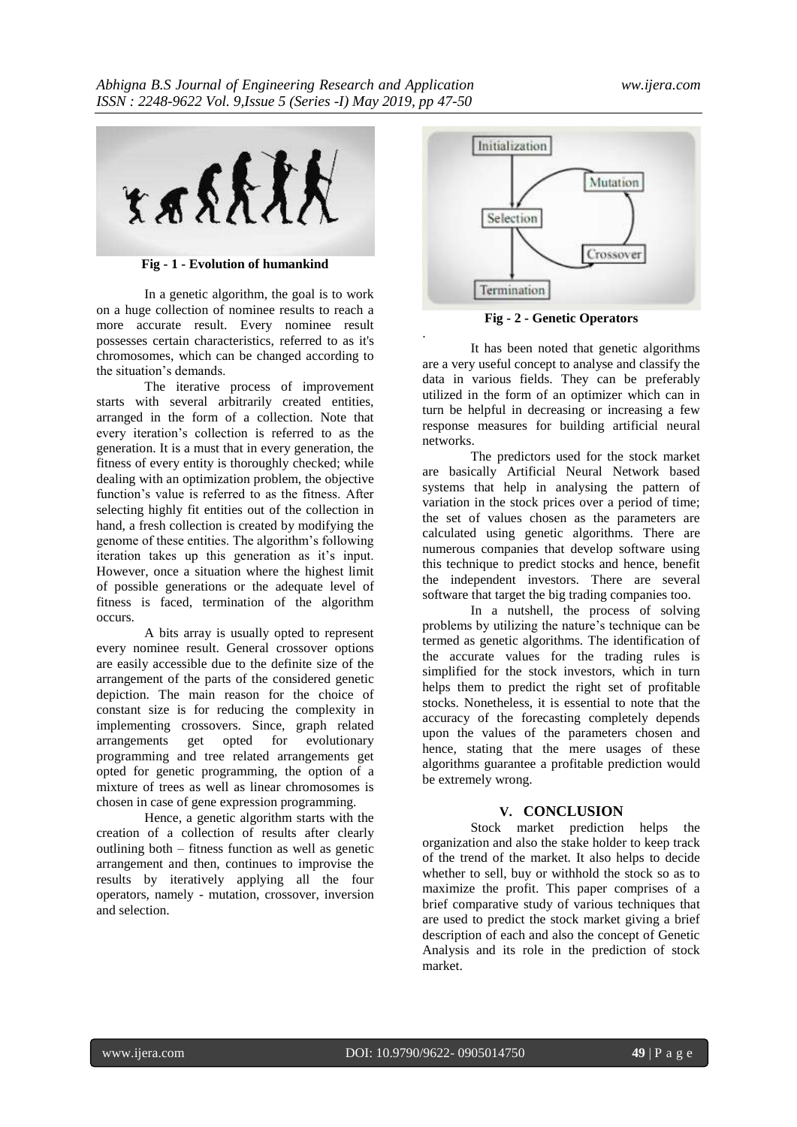

**Fig - 1 - Evolution of humankind**

In a genetic algorithm, the goal is to work on a huge collection of nominee results to reach a more accurate result. Every nominee result possesses certain characteristics, referred to as it's chromosomes, which can be changed according to the situation's demands.

The iterative process of improvement starts with several arbitrarily created entities, arranged in the form of a collection. Note that every iteration's collection is referred to as the generation. It is a must that in every generation, the fitness of every entity is thoroughly checked; while dealing with an optimization problem, the objective function's value is referred to as the fitness. After selecting highly fit entities out of the collection in hand, a fresh collection is created by modifying the genome of these entities. The algorithm's following iteration takes up this generation as it's input. However, once a situation where the highest limit of possible generations or the adequate level of fitness is faced, termination of the algorithm occurs.

A bits array is usually opted to represent every nominee result. General crossover options are easily accessible due to the definite size of the arrangement of the parts of the considered genetic depiction. The main reason for the choice of constant size is for reducing the complexity in implementing crossovers. Since, graph related arrangements get opted for evolutionary programming and tree related arrangements get opted for genetic programming, the option of a mixture of trees as well as linear chromosomes is chosen in case of gene expression programming.

Hence, a genetic algorithm starts with the creation of a collection of results after clearly outlining both – fitness function as well as genetic arrangement and then, continues to improvise the results by iteratively applying all the four operators, namely - mutation, crossover, inversion and selection.



**Fig - 2 - Genetic Operators**

.

It has been noted that genetic algorithms are a very useful concept to analyse and classify the data in various fields. They can be preferably utilized in the form of an optimizer which can in turn be helpful in decreasing or increasing a few response measures for building artificial neural networks.

The predictors used for the stock market are basically Artificial Neural Network based systems that help in analysing the pattern of variation in the stock prices over a period of time; the set of values chosen as the parameters are calculated using genetic algorithms. There are numerous companies that develop software using this technique to predict stocks and hence, benefit the independent investors. There are several software that target the big trading companies too.

In a nutshell, the process of solving problems by utilizing the nature's technique can be termed as genetic algorithms. The identification of the accurate values for the trading rules is simplified for the stock investors, which in turn helps them to predict the right set of profitable stocks. Nonetheless, it is essential to note that the accuracy of the forecasting completely depends upon the values of the parameters chosen and hence, stating that the mere usages of these algorithms guarantee a profitable prediction would be extremely wrong.

## **V. CONCLUSION**

Stock market prediction helps the organization and also the stake holder to keep track of the trend of the market. It also helps to decide whether to sell, buy or withhold the stock so as to maximize the profit. This paper comprises of a brief comparative study of various techniques that are used to predict the stock market giving a brief description of each and also the concept of Genetic Analysis and its role in the prediction of stock market.